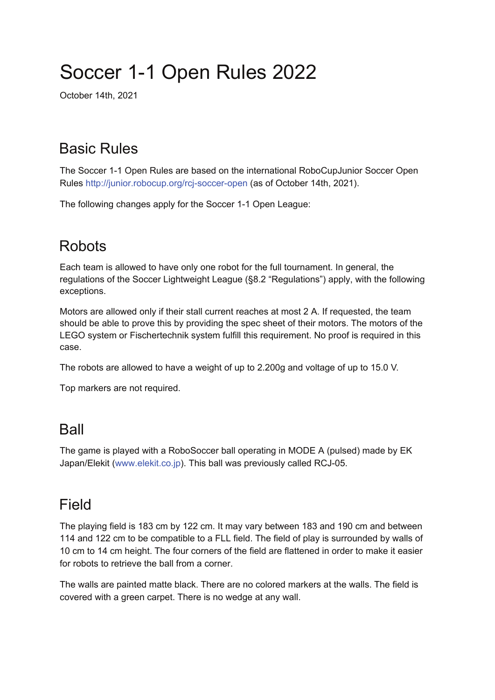# Soccer 1-1 Open Rules 2022

October 14th, 2021

## Basic Rules

The Soccer 1-1 Open Rules are based on the international RoboCupJunior Soccer Open Rules http://junior.robocup.org/rcj-soccer-open (as of October 14th, 2021).

The following changes apply for the Soccer 1-1 Open League:

## **Robots**

Each team is allowed to have only one robot for the full tournament. In general, the regulations of the Soccer Lightweight League (§8.2 "Regulations") apply, with the following exceptions.

Motors are allowed only if their stall current reaches at most 2 A. If requested, the team should be able to prove this by providing the spec sheet of their motors. The motors of the LEGO system or Fischertechnik system fulfill this requirement. No proof is required in this case.

The robots are allowed to have a weight of up to 2.200g and voltage of up to 15.0 V.

Top markers are not required.

#### Ball

The game is played with a RoboSoccer ball operating in MODE A (pulsed) made by EK Japan/Elekit (www.elekit.co.jp). This ball was previously called RCJ-05.

#### Field

The playing field is 183 cm by 122 cm. It may vary between 183 and 190 cm and between 114 and 122 cm to be compatible to a FLL field. The field of play is surrounded by walls of 10 cm to 14 cm height. The four corners of the field are flattened in order to make it easier for robots to retrieve the ball from a corner.

The walls are painted matte black. There are no colored markers at the walls. The field is covered with a green carpet. There is no wedge at any wall.